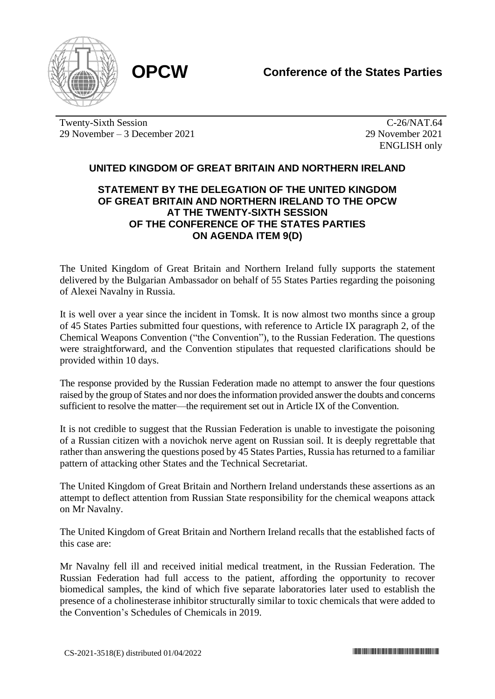

Twenty-Sixth Session 29 November – 3 December 2021

C-26/NAT.64 29 November 2021 ENGLISH only

## **UNITED KINGDOM OF GREAT BRITAIN AND NORTHERN IRELAND**

## **STATEMENT BY THE DELEGATION OF THE UNITED KINGDOM OF GREAT BRITAIN AND NORTHERN IRELAND TO THE OPCW AT THE TWENTY-SIXTH SESSION OF THE CONFERENCE OF THE STATES PARTIES ON AGENDA ITEM 9(D)**

The United Kingdom of Great Britain and Northern Ireland fully supports the statement delivered by the Bulgarian Ambassador on behalf of 55 States Parties regarding the poisoning of Alexei Navalny in Russia.

It is well over a year since the incident in Tomsk. It is now almost two months since a group of 45 States Parties submitted four questions, with reference to Article IX paragraph 2, of the Chemical Weapons Convention ("the Convention"), to the Russian Federation. The questions were straightforward, and the Convention stipulates that requested clarifications should be provided within 10 days.

The response provided by the Russian Federation made no attempt to answer the four questions raised by the group of States and nor does the information provided answer the doubts and concerns sufficient to resolve the matter—the requirement set out in Article IX of the Convention.

It is not credible to suggest that the Russian Federation is unable to investigate the poisoning of a Russian citizen with a novichok nerve agent on Russian soil. It is deeply regrettable that rather than answering the questions posed by 45 States Parties, Russia has returned to a familiar pattern of attacking other States and the Technical Secretariat.

The United Kingdom of Great Britain and Northern Ireland understands these assertions as an attempt to deflect attention from Russian State responsibility for the chemical weapons attack on Mr Navalny.

The United Kingdom of Great Britain and Northern Ireland recalls that the established facts of this case are:

Mr Navalny fell ill and received initial medical treatment, in the Russian Federation. The Russian Federation had full access to the patient, affording the opportunity to recover biomedical samples, the kind of which five separate laboratories later used to establish the presence of a cholinesterase inhibitor structurally similar to toxic chemicals that were added to the Convention's Schedules of Chemicals in 2019.